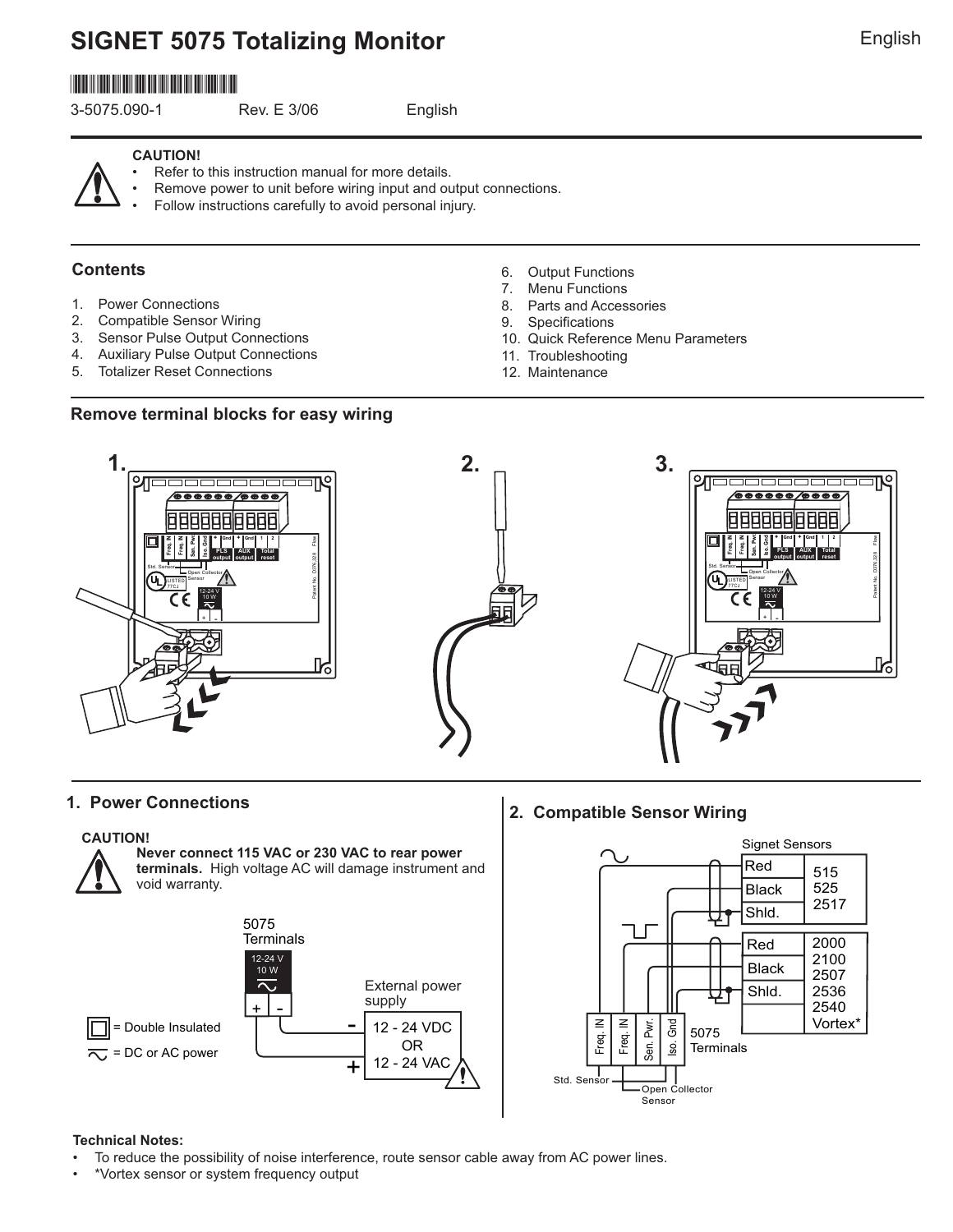# **SIGNET 5075 Totalizing Monitor English English**

# \*3-5075.090-1\*

3-5075.090-1 Rev. E 3/06 English

#### **CAUTION!**

- Refer to this instruction manual for more details.
- Remove power to unit before wiring input and output connections.
- Follow instructions carefully to avoid personal injury.

# **Contents**

- 1. Power Connections
- 2. Compatible Sensor Wiring
- 3. Sensor Pulse Output Connections
- 4. Auxiliary Pulse Output Connections
- 5. Totalizer Reset Connections
- 6. Output Functions
- 7. Menu Functions
- 8. Parts and Accessories
- 9. Specifications
- 10. Quick Reference Menu Parameters
- 11. Troubleshooting
- 12. Maintenance





#### **CAUTION!**



**Never connect 115 VAC or 230 VAC to rear power terminals.** High voltage AC will damage instrument and void warranty.



**1. Power Connections 2. Compatible Sensor Wiring**



#### **Technical Notes:**

- To reduce the possibility of noise interference, route sensor cable away from AC power lines.
- \*Vortex sensor or system frequency output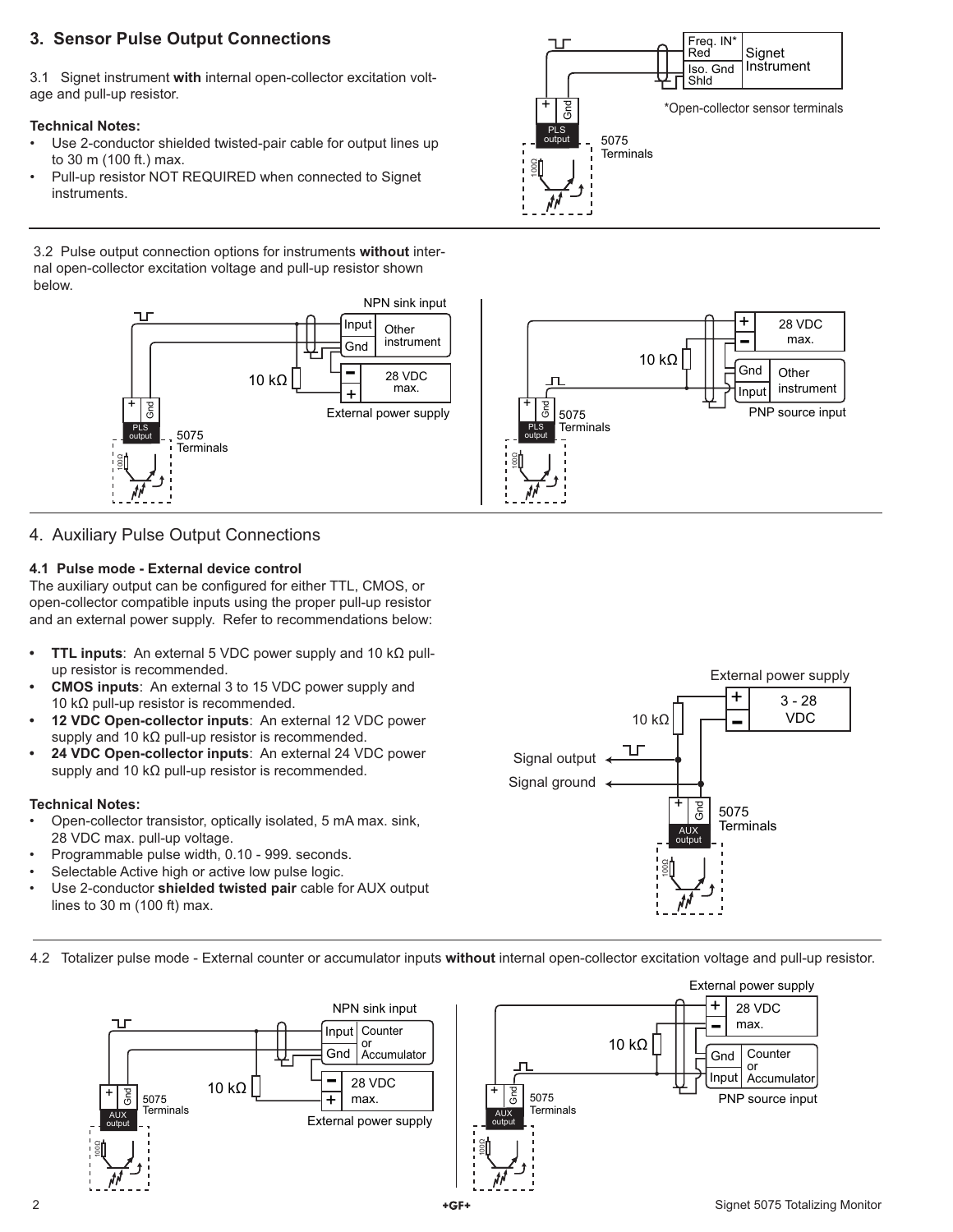# **3. Sensor Pulse Output Connections**

3.1 Signet instrument **with** internal open-collector excitation voltage and pull-up resistor.

#### **Technical Notes:**

- Use 2-conductor shielded twisted-pair cable for output lines up to 30 m (100 ft.) max.
- Pull-up resistor NOT REQUIRED when connected to Signet instruments.

3.2 Pulse output connection options for instruments **without** internal open-collector excitation voltage and pull-up resistor shown below.



# 4. Auxiliary Pulse Output Connections

#### **4.1 Pulse mode - External device control**

The auxiliary output can be configured for either TTL, CMOS, or open-collector compatible inputs using the proper pull-up resistor and an external power supply. Refer to recommendations below:

- **TTL inputs**: An external 5 VDC power supply and 10 kΩ pullup resistor is recommended.
- **CMOS inputs**: An external 3 to 15 VDC power supply and 10 kΩ pull-up resistor is recommended.
- **12 VDC Open-collector inputs**: An external 12 VDC power supply and 10 kΩ pull-up resistor is recommended.
- **24 VDC Open-collector inputs**: An external 24 VDC power supply and 10 kΩ pull-up resistor is recommended.

#### **Technical Notes:**

- Open-collector transistor, optically isolated, 5 mA max. sink, 28 VDC max. pull-up voltage.
- Programmable pulse width, 0.10 999. seconds.
- Selectable Active high or active low pulse logic.
- Use 2-conductor **shielded twisted pair** cable for AUX output lines to 30 m (100 ft) max.



4.2 Totalizer pulse mode - External counter or accumulator inputs **without** internal open-collector excitation voltage and pull-up resistor.





+ ල<br>ග් PLS 5075 **Terminals** Freq. IN<sup>\*</sup><br>Red Signet Iso. Gnd Instrument Shld \*Open-collector sensor terminals 100Ω

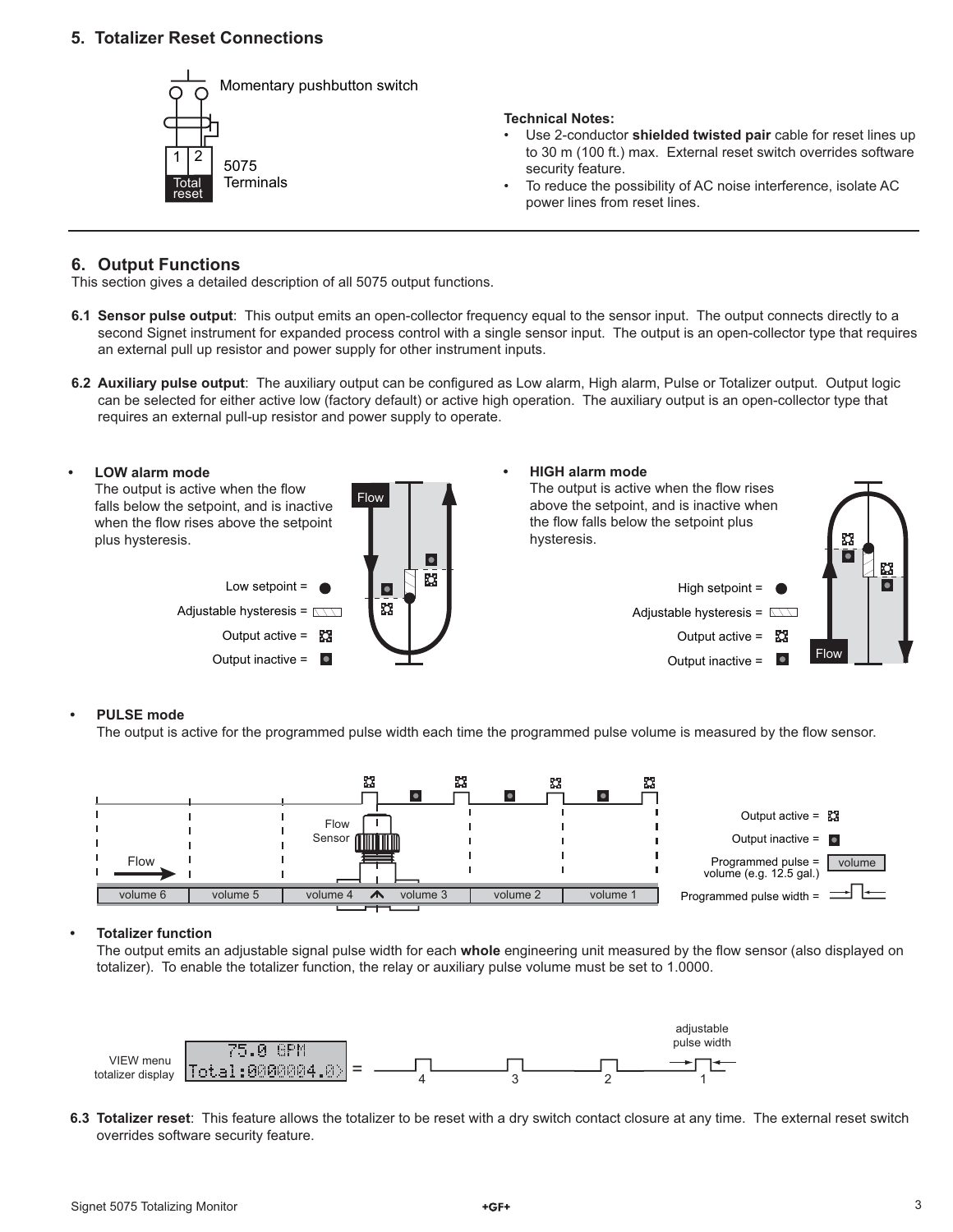## **5. Totalizer Reset Connections**



#### **6. Output Functions**

This section gives a detailed description of all 5075 output functions.

- **6.1 Sensor pulse output**: This output emits an open-collector frequency equal to the sensor input. The output connects directly to a second Signet instrument for expanded process control with a single sensor input. The output is an open-collector type that requires an external pull up resistor and power supply for other instrument inputs.
- 6.2 Auxiliary pulse output: The auxiliary output can be configured as Low alarm, High alarm, Pulse or Totalizer output. Output logic can be selected for either active low (factory default) or active high operation. The auxiliary output is an open-collector type that requires an external pull-up resistor and power supply to operate.



#### **• PULSE mode**

The output is active for the programmed pulse width each time the programmed pulse volume is measured by the flow sensor.



#### **• Totalizer function**

The output emits an adjustable signal pulse width for each whole engineering unit measured by the flow sensor (also displayed on totalizer). To enable the totalizer function, the relay or auxiliary pulse volume must be set to 1.0000.



**6.3 Totalizer reset**: This feature allows the totalizer to be reset with a dry switch contact closure at any time. The external reset switch overrides software security feature.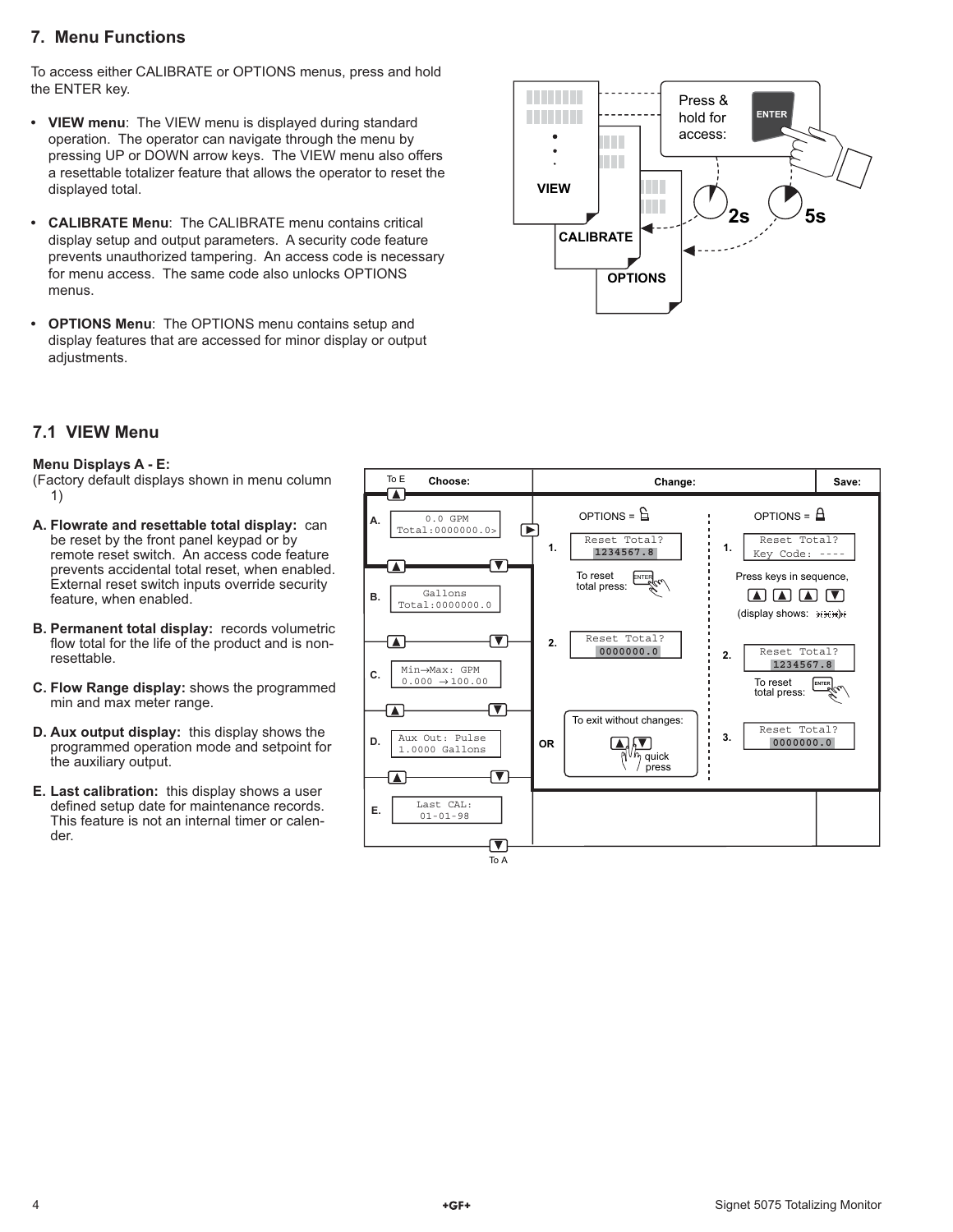# **7. Menu Functions**

To access either CALIBRATE or OPTIONS menus, press and hold the ENTER key.

- **VIEW menu**: The VIEW menu is displayed during standard operation. The operator can navigate through the menu by pressing UP or DOWN arrow keys. The VIEW menu also offers a resettable totalizer feature that allows the operator to reset the displayed total.
- **CALIBRATE Menu**: The CALIBRATE menu contains critical display setup and output parameters. A security code feature prevents unauthorized tampering. An access code is necessary for menu access. The same code also unlocks OPTIONS menus.
- **OPTIONS Menu**: The OPTIONS menu contains setup and display features that are accessed for minor display or output adjustments.



# **7.1 VIEW Menu**

#### **Menu Displays A - E:**

(Factory default displays shown in menu column 1)

- **A. Flowrate and resettable total display:** can be reset by the front panel keypad or by remote reset switch. An access code feature prevents accidental total reset, when enabled. External reset switch inputs override security feature, when enabled.
- **B. Permanent total display:** records volumetric flow total for the life of the product and is nonresettable.
- **C. Flow Range display:** shows the programmed min and max meter range.
- **D. Aux output display:** this display shows the programmed operation mode and setpoint for the auxiliary output.
- **E. Last calibration:** this display shows a user defined setup date for maintenance records. This feature is not an internal timer or calender.

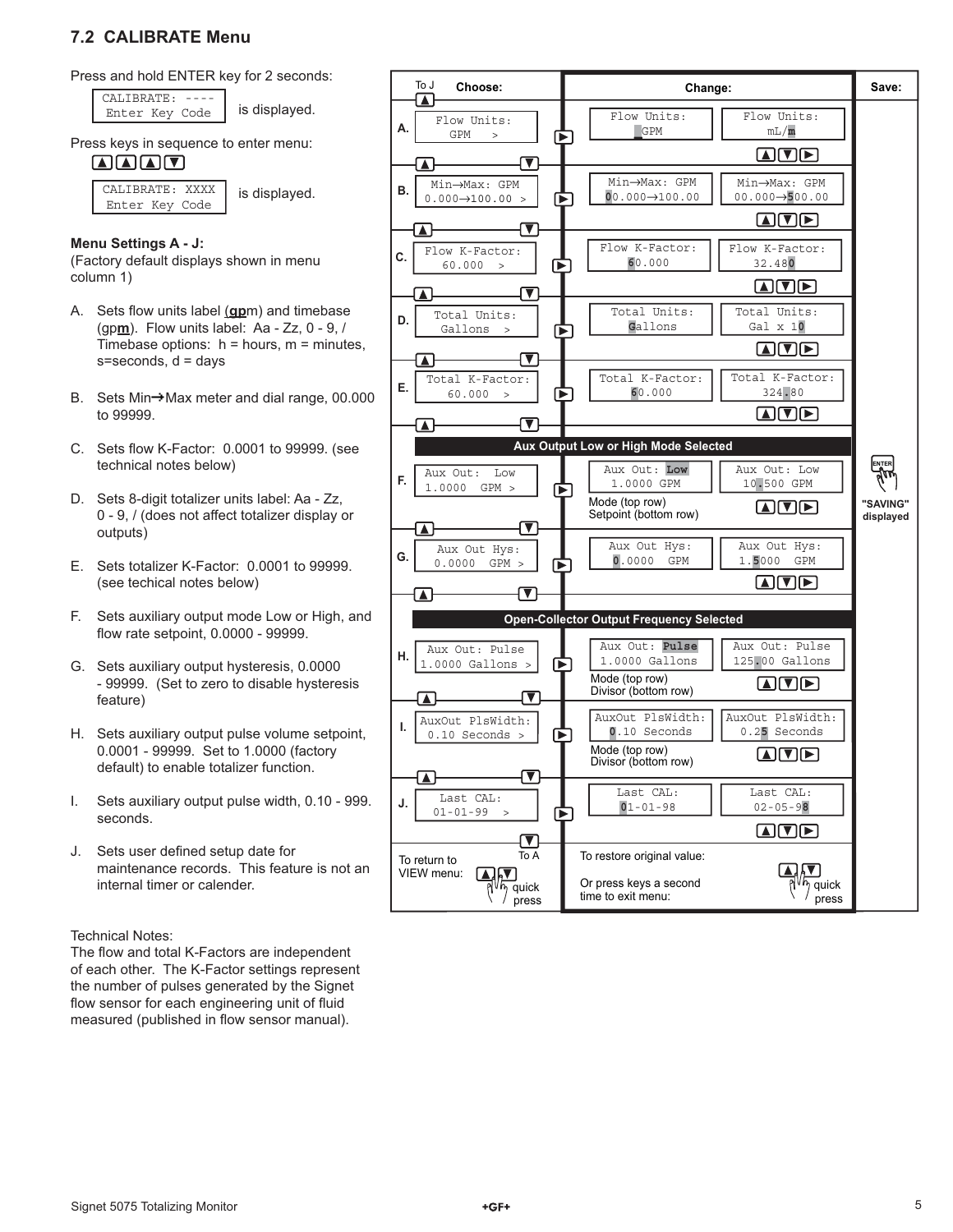# **7.2 CALIBRATE Menu**



Enter Key Code | is displayed. CALIBRATE: ----

Press keys in sequence to enter menu:

 $\blacksquare \blacksquare \blacksquare \blacksquare \blacksquare$ 

 is displayed. CALIBRATE: XXXX Enter Key Code

#### **Menu Settings A - J:**

(Factory default displays shown in menu column 1)

- A. Sets flow units label (gpm) and timebase (gp**m**). Flow units label: Aa - Zz, 0 - 9, / Timebase options:  $h =$  hours,  $m =$  minutes,  $s =$ seconds,  $d =$ days
- B. Sets Min-Max meter and dial range, 00.000 to 99999.
- C. Sets flow K-Factor: 0.0001 to 99999. (see technical notes below)
- D. Sets 8-digit totalizer units label: Aa Zz, 0 - 9, / (does not affect totalizer display or outputs)
- E. Sets totalizer K-Factor: 0.0001 to 99999. (see techical notes below)
- F. Sets auxiliary output mode Low or High, and flow rate setpoint, 0.0000 - 99999.
- G. Sets auxiliary output hysteresis, 0.0000 - 99999. (Set to zero to disable hysteresis feature)
- H. Sets auxiliary output pulse volume setpoint, 0.0001 - 99999. Set to 1.0000 (factory default) to enable totalizer function.
- I. Sets auxiliary output pulse width, 0.10 999. seconds.
- J. Sets user defined setup date for maintenance records. This feature is not an internal timer or calender.

#### Technical Notes:

The flow and total K-Factors are independent of each other. The K-Factor settings represent the number of pulses generated by the Signet flow sensor for each engineering unit of fluid measured (published in flow sensor manual).

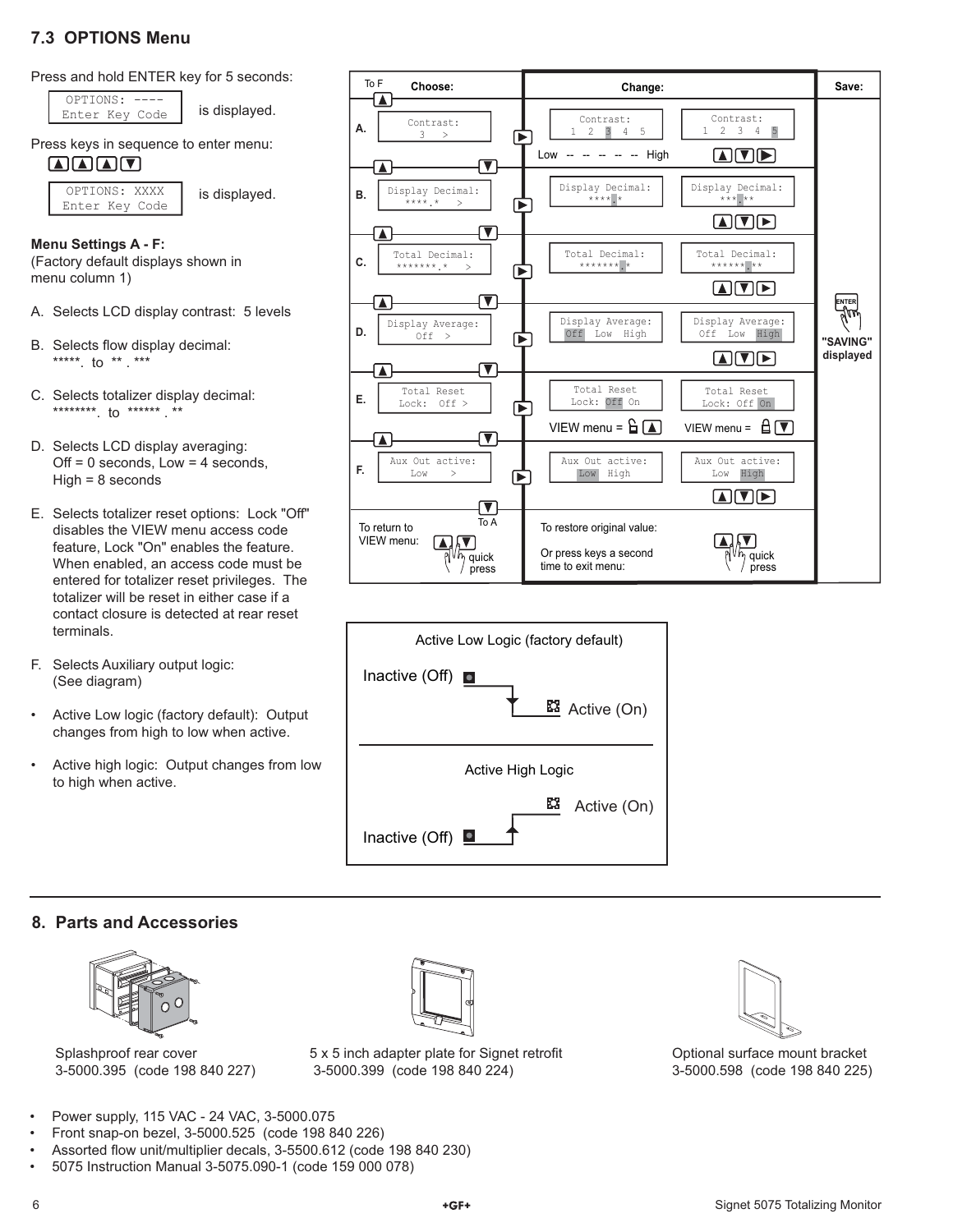# **7.3 OPTIONS Menu**

Press and hold ENTER key for 5 seconds:

Enter Key Code | is displayed. OPTIONS: ----

is displayed.

Press keys in sequence to enter menu:

### $\blacksquare \blacksquare \blacksquare \blacksquare \blacksquare$

OPTIONS: XXXX Enter Key Code

#### **Menu Settings A - F:**

(Factory default displays shown in menu column 1)

- A. Selects LCD display contrast: 5 levels
- B. Selects flow display decimal: \*\*\*\*\*\*. to \*\* . \*\*\*
- C. Selects totalizer display decimal: \*\*\*\*\*\*\*\*. to \*\*\*\*\*\* . \*\*
- D. Selects LCD display averaging:  $Off = 0$  seconds,  $Low = 4$  seconds, High = 8 seconds
- E. Selects totalizer reset options: Lock "Off" disables the VIEW menu access code feature, Lock "On" enables the feature. When enabled, an access code must be entered for totalizer reset privileges. The totalizer will be reset in either case if a contact closure is detected at rear reset terminals.
- F. Selects Auxiliary output logic: (See diagram)
- Active Low logic (factory default): Output changes from high to low when active.
- Active high logic: Output changes from low to high when active.





# **8. Parts and Accessories**



Splashproof rear cover 3-5000.395 (code 198 840 227)



Optional surface mount bracket 3-5000.598 (code 198 840 225)

5 x 5 inch adapter plate for Signet retrofit 3-5000.399 (code 198 840 224)

- Power supply, 115 VAC 24 VAC, 3-5000.075
- Front snap-on bezel, 3-5000.525 (code 198 840 226)
- Assorted flow unit/multiplier decals, 3-5500.612 (code 198 840 230)
- 5075 Instruction Manual 3-5075.090-1 (code 159 000 078)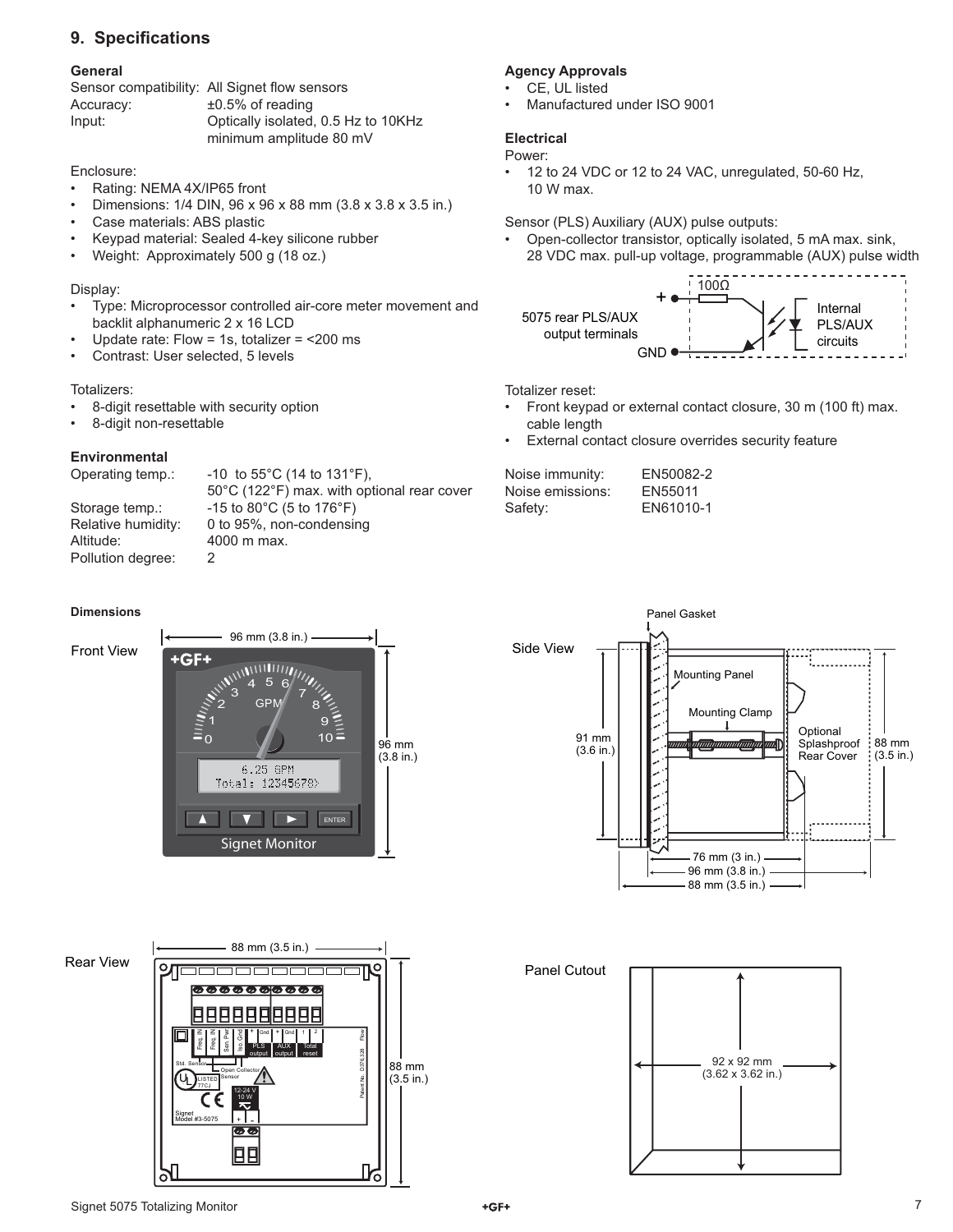# **9. Specifications**

#### **General**

|           | Sensor compatibility: All Signet flow sensors |
|-----------|-----------------------------------------------|
| Accuracy: | $±0.5\%$ of reading                           |
| Input:    | Optically isolated, 0.5 Hz to 10KHz           |
|           | minimum amplitude 80 mV                       |

#### Enclosure:

- Rating: NEMA 4X/IP65 front
- Dimensions: 1/4 DIN, 96 x 96 x 88 mm (3.8 x 3.8 x 3.5 in.)
- Case materials: ABS plastic
- Keypad material: Sealed 4-key silicone rubber
- Weight: Approximately 500 g (18 oz.)

#### Display:

- Type: Microprocessor controlled air-core meter movement and backlit alphanumeric 2 x 16 LCD
- Update rate: Flow = 1s, totalizer = <200 ms
- Contrast: User selected, 5 levels

#### Totalizers:

- 8-digit resettable with security option
- 8-digit non-resettable

#### **Environmental**

Operating temp.: -10 to 55°C (14 to 131°F), Storage temp.:  $-15$  to  $80^{\circ}$ C (5 to  $176^{\circ}$ F)

Altitude: 4000 m max. Pollution degree: 2

 50°C (122°F) max. with optional rear cover Relative humidity: 0 to 95%, non-condensing

#### **Dimensions**

#### Front View





# Rear View





76 mm (3 in.) 96 mm (3.8 in.) 88 mm (3.5 in.)

#### **Agency Approvals**

- CE, UL listed
- Manufactured under ISO 9001

#### **Electrical**

Power:

• 12 to 24 VDC or 12 to 24 VAC, unregulated, 50-60 Hz, 10 W max.

Sensor (PLS) Auxiliary (AUX) pulse outputs:

• Open-collector transistor, optically isolated, 5 mA max. sink, 28 VDC max. pull-up voltage, programmable (AUX) pulse width



Totalizer reset:

- Front keypad or external contact closure, 30 m (100 ft) max. cable length
- External contact closure overrides security feature

Noise immunity: EN50082-2 Noise emissions: EN55011 Safety: EN61010-1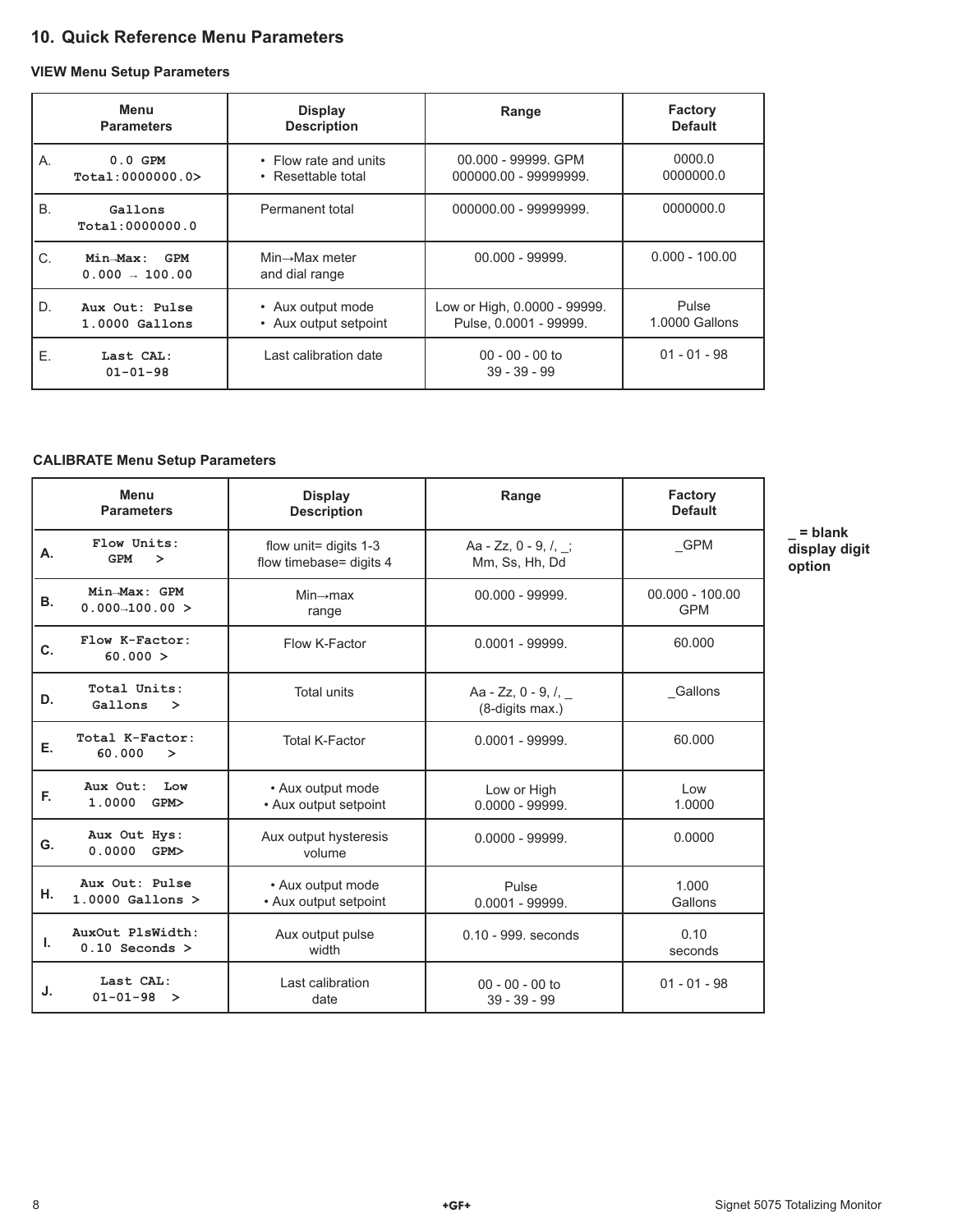# **10. Quick Reference Menu Parameters**

#### **VIEW Menu Setup Parameters**

|           | Menu<br><b>Parameters</b>           | <b>Display</b><br><b>Description</b>          | Range                                                  | Factory<br><b>Default</b> |
|-----------|-------------------------------------|-----------------------------------------------|--------------------------------------------------------|---------------------------|
| Α.        | $0.0$ GPM<br>Total:0000000.0>       | • Flow rate and units<br>• Resettable total   | 00.000 - 99999. GPM<br>000000.00 - 99999999.           | 0000.0<br>0000000.0       |
| <b>B.</b> | Gallons<br>Total: 0000000.0         | Permanent total                               | 000000.00 - 99999999.                                  | 0000000.0                 |
| C.        | $Min\_Max:$ GPM<br>$0.000 - 100.00$ | $Min \rightarrow Max$ meter<br>and dial range | $00.000 - 99999.$                                      | $0.000 - 100.00$          |
| D.        | Aux Out: Pulse<br>$1.0000$ Gallons  | • Aux output mode<br>• Aux output setpoint    | Low or High, 0.0000 - 99999.<br>Pulse, 0.0001 - 99999. | Pulse<br>1.0000 Gallons   |
| Ε.        | Last CAL:<br>$01 - 01 - 98$         | Last calibration date                         | $00 - 00 - 00$ to<br>$39 - 39 - 99$                    | $01 - 01 - 98$            |

#### **CALIBRATE Menu Setup Parameters**

|           | Menu<br><b>Parameters</b>              | <b>Display</b><br><b>Description</b>               | Range                                         | <b>Factory</b><br><b>Default</b> |
|-----------|----------------------------------------|----------------------------------------------------|-----------------------------------------------|----------------------------------|
| А.        | Flow Units:<br>GPM<br>⋗                | flow unit= digits $1-3$<br>flow timebase= digits 4 | Aa - $Zz$ , 0 - 9, /, ;<br>Mm, Ss, Hh, Dd     | GPM                              |
| <b>B.</b> | Min-Max: GPM<br>$0.000 - 100.00 >$     | $Min \rightarrow max$<br>range                     | 00.000 - 99999.                               | $00.000 - 100.00$<br><b>GPM</b>  |
| C.        | Flow K-Factor:<br>60.000 >             | Flow K-Factor                                      | $0.0001 - 999999.$                            | 60.000                           |
| D.        | Total Units:<br>Gallons<br>$\geq$      | <b>Total units</b>                                 | Aa - Zz, 0 - 9, $\ell$ , _<br>(8-digits max.) | Gallons                          |
| Е.        | Total K-Factor:<br>60.000<br>$\geq$    | <b>Total K-Factor</b>                              | $0.0001 - 999999.$                            | 60.000                           |
| F.        | Aux Out:<br>Low<br>1.0000<br>GPM>      | • Aux output mode<br>• Aux output setpoint         | Low or High<br>$0.0000 - 99999.$              | Low<br>1.0000                    |
| G.        | Aux Out Hys:<br>0.0000<br>GPM>         | Aux output hysteresis<br>volume                    | $0.0000 - 99999.$                             | 0.0000                           |
| н.        | Aux Out: Pulse<br>$1.0000$ Gallons $>$ | • Aux output mode<br>• Aux output setpoint         | Pulse<br>$0.0001 - 99999.$                    | 1.000<br>Gallons                 |
| L.        | AuxOut PlsWidth:<br>$0.10$ Seconds >   | Aux output pulse<br>width                          | 0.10 - 999. seconds                           | 0.10<br>seconds                  |
| J.        | Last CAL:<br>$01 - 01 - 98 >$          | Last calibration<br>date                           | $00 - 00 - 00$ to<br>$39 - 39 - 99$           | $01 - 01 - 98$                   |

**\_ = blank display digit option**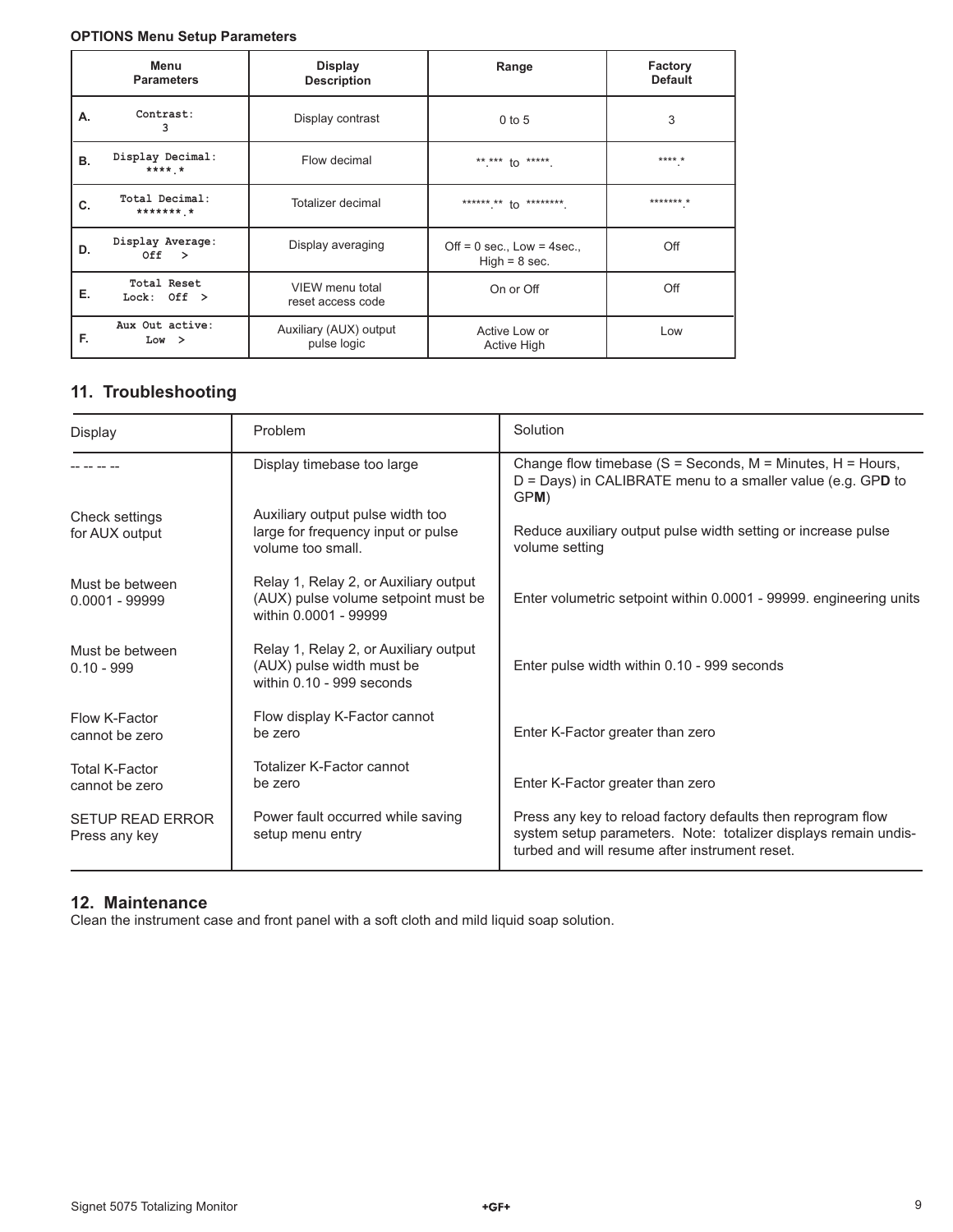#### **OPTIONS Menu Setup Parameters**

|    | Menu<br><b>Parameters</b>    | <b>Display</b><br><b>Description</b>  | Range                                              | Factory<br><b>Default</b> |
|----|------------------------------|---------------------------------------|----------------------------------------------------|---------------------------|
| А. | Contrast:<br>3               | Display contrast                      | $0$ to 5                                           | 3                         |
| В. | Display Decimal:<br>$***$ *  | Flow decimal                          | ** *** to *****.                                   | **** *                    |
| C. | Total Decimal:<br>********   | Totalizer decimal                     | ****** ** to ********.                             | $********$                |
| D. | Display Average:<br>Off >    | Display averaging                     | Off = $0$ sec., Low = $4$ sec.,<br>$High = 8 sec.$ | Off                       |
| Е. | Total Reset<br>Lock: $Off >$ | VIEW menu total<br>reset access code  | On or Off                                          | Off                       |
| E. | Aux Out active:<br>Low >     | Auxiliary (AUX) output<br>pulse logic | Active Low or<br>Active High                       | Low                       |

# **11. Troubleshooting**

| Display                                  | Problem                                                                                               | Solution                                                                                                                                                                          |
|------------------------------------------|-------------------------------------------------------------------------------------------------------|-----------------------------------------------------------------------------------------------------------------------------------------------------------------------------------|
|                                          | Display timebase too large                                                                            | Change flow timebase ( $S =$ Seconds, M = Minutes, H = Hours,<br>$D =$ Days) in CALIBRATE menu to a smaller value (e.g. GPD to<br>GPM)                                            |
| Check settings<br>for AUX output         | Auxiliary output pulse width too<br>large for frequency input or pulse<br>volume too small.           | Reduce auxiliary output pulse width setting or increase pulse<br>volume setting                                                                                                   |
| Must be between<br>$0.0001 - 99999$      | Relay 1, Relay 2, or Auxiliary output<br>(AUX) pulse volume setpoint must be<br>within 0.0001 - 99999 | Enter volumetric setpoint within 0.0001 - 99999. engineering units                                                                                                                |
| Must be between<br>$0.10 - 999$          | Relay 1, Relay 2, or Auxiliary output<br>(AUX) pulse width must be<br>within 0.10 - 999 seconds       | Enter pulse width within 0.10 - 999 seconds                                                                                                                                       |
| Flow K-Factor<br>cannot be zero          | Flow display K-Factor cannot<br>be zero                                                               | Enter K-Factor greater than zero                                                                                                                                                  |
| <b>Total K-Factor</b><br>cannot be zero  | Totalizer K-Factor cannot<br>be zero                                                                  | Enter K-Factor greater than zero                                                                                                                                                  |
| <b>SETUP READ ERROR</b><br>Press any key | Power fault occurred while saving<br>setup menu entry                                                 | Press any key to reload factory defaults then reprogram flow<br>system setup parameters. Note: totalizer displays remain undis-<br>turbed and will resume after instrument reset. |

# **12. Maintenance**

Clean the instrument case and front panel with a soft cloth and mild liquid soap solution.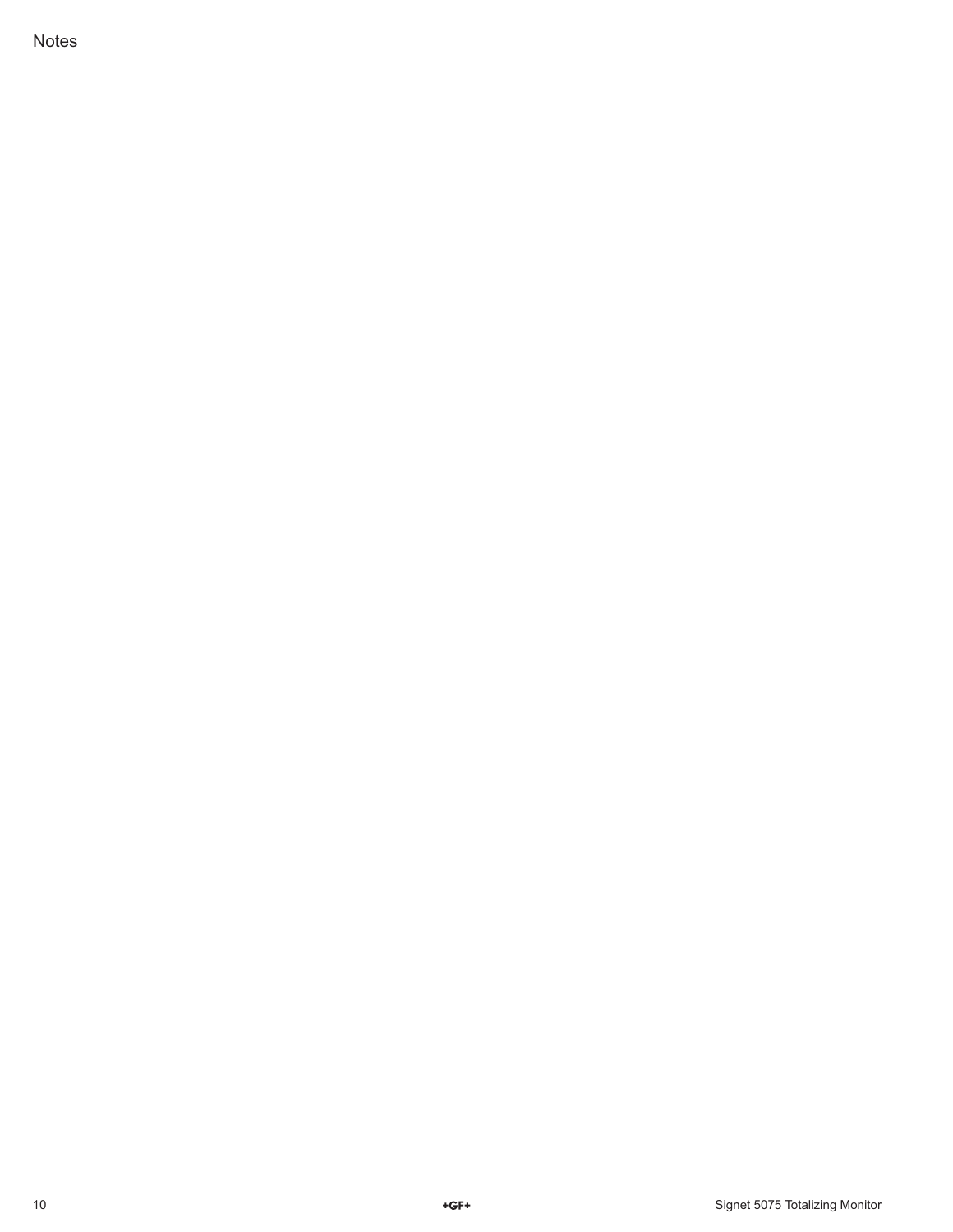Notes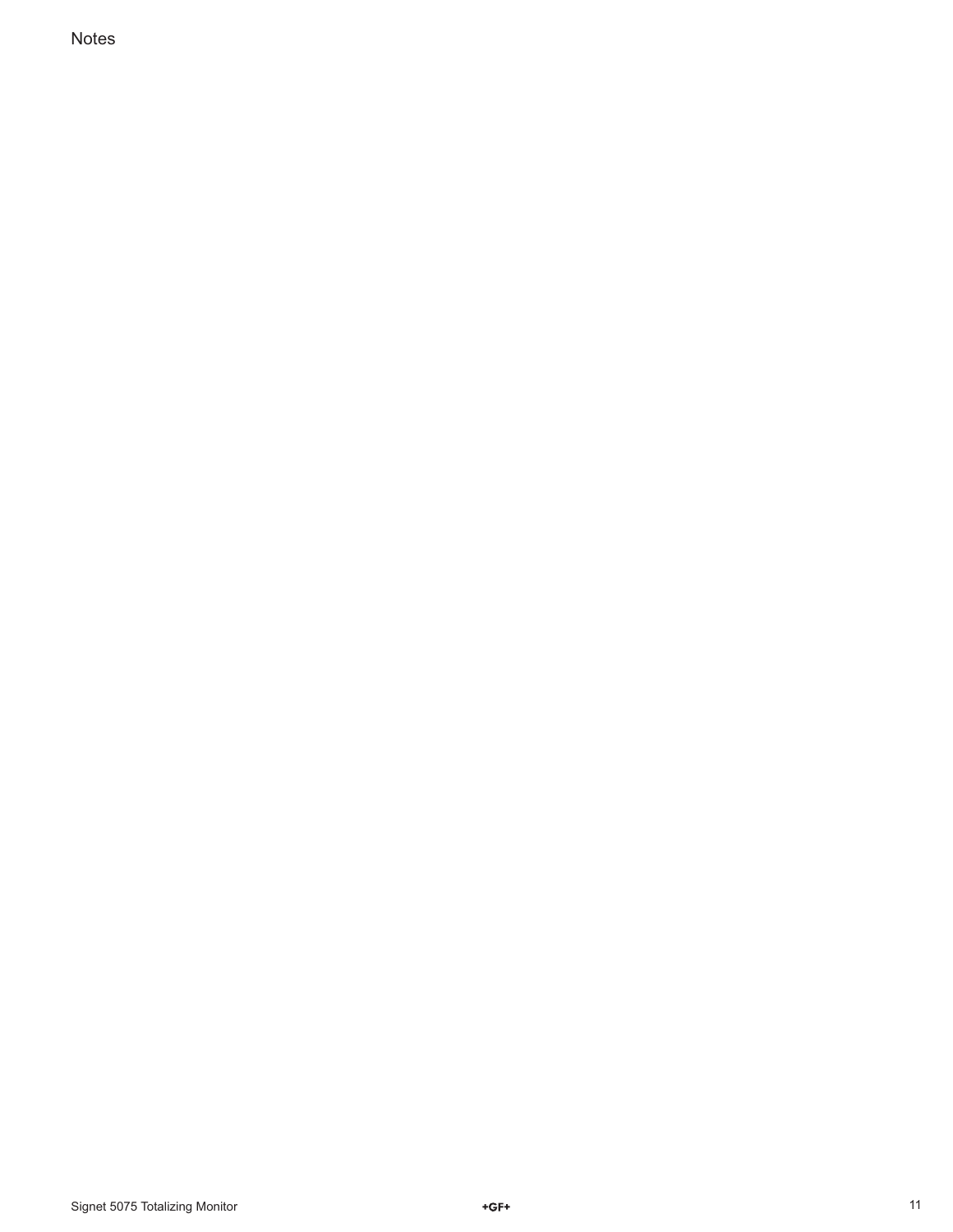Notes